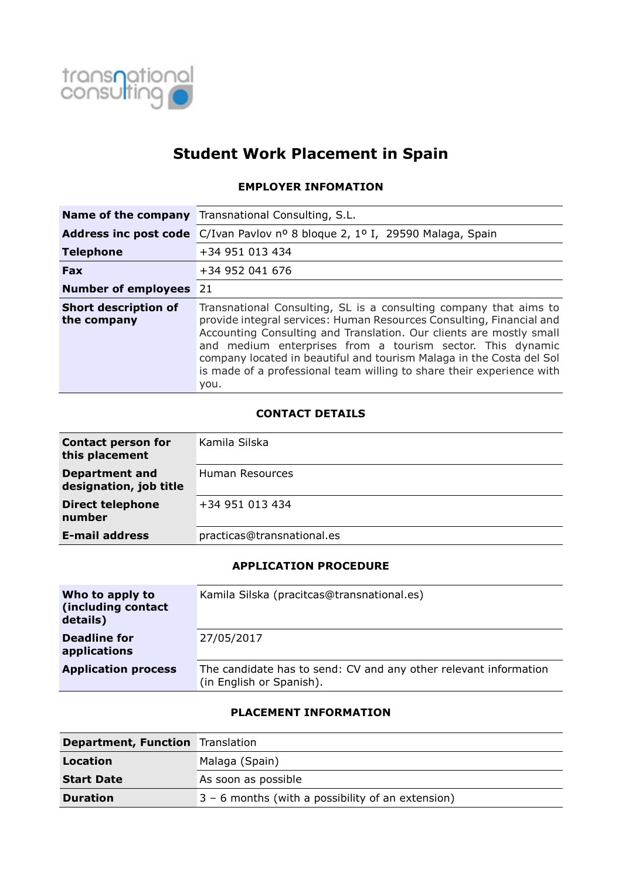

# **Student Work Placement in Spain**

#### **EMPLOYER INFOMATION**

|                                            | <b>Name of the company</b> Transnational Consulting, S.L.                                                                                                                                                                                                                                                                                                                                                                               |
|--------------------------------------------|-----------------------------------------------------------------------------------------------------------------------------------------------------------------------------------------------------------------------------------------------------------------------------------------------------------------------------------------------------------------------------------------------------------------------------------------|
|                                            | Address inc post code C/Ivan Pavlov nº 8 bloque 2, 1º I, 29590 Malaga, Spain                                                                                                                                                                                                                                                                                                                                                            |
| <b>Telephone</b>                           | +34 951 013 434                                                                                                                                                                                                                                                                                                                                                                                                                         |
| <b>Fax</b>                                 | +34 952 041 676                                                                                                                                                                                                                                                                                                                                                                                                                         |
| <b>Number of employees</b> 21              |                                                                                                                                                                                                                                                                                                                                                                                                                                         |
| <b>Short description of</b><br>the company | Transnational Consulting, SL is a consulting company that aims to<br>provide integral services: Human Resources Consulting, Financial and<br>Accounting Consulting and Translation. Our clients are mostly small<br>and medium enterprises from a tourism sector. This dynamic<br>company located in beautiful and tourism Malaga in the Costa del Sol<br>is made of a professional team willing to share their experience with<br>you. |

## **CONTACT DETAILS**

| <b>Contact person for</b><br>this placement     | Kamila Silska              |
|-------------------------------------------------|----------------------------|
| <b>Department and</b><br>designation, job title | Human Resources            |
| <b>Direct telephone</b><br>number               | +34 951 013 434            |
| <b>E-mail address</b>                           | practicas@transnational.es |

# **APPLICATION PROCEDURE**

| Who to apply to<br>(including contact<br>details) | Kamila Silska (pracitcas@transnational.es)                                                   |
|---------------------------------------------------|----------------------------------------------------------------------------------------------|
| Deadline for<br>applications                      | 27/05/2017                                                                                   |
| <b>Application process</b>                        | The candidate has to send: CV and any other relevant information<br>(in English or Spanish). |

## **PLACEMENT INFORMATION**

| <b>Department, Function</b> Translation |                                                     |
|-----------------------------------------|-----------------------------------------------------|
| Location                                | Malaga (Spain)                                      |
| <b>Start Date</b>                       | As soon as possible                                 |
| <b>Duration</b>                         | $3 - 6$ months (with a possibility of an extension) |